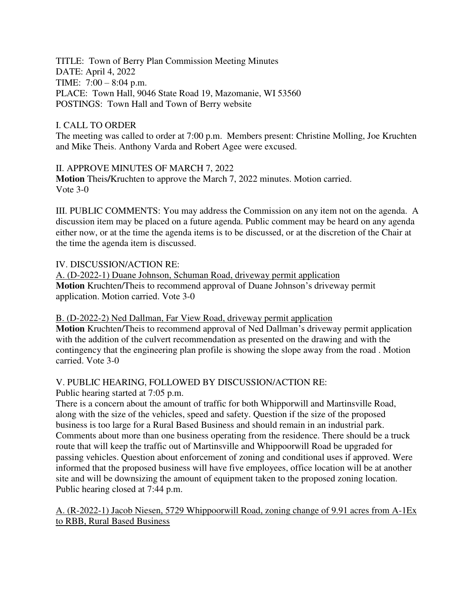TITLE: Town of Berry Plan Commission Meeting Minutes DATE: April 4, 2022 TIME: 7:00 – 8:04 p.m. PLACE: Town Hall, 9046 State Road 19, Mazomanie, WI 53560 POSTINGS: Town Hall and Town of Berry website

## I. CALL TO ORDER

The meeting was called to order at 7:00 p.m. Members present: Christine Molling, Joe Kruchten and Mike Theis. Anthony Varda and Robert Agee were excused.

II. APPROVE MINUTES OF MARCH 7, 2022 **Motion** Theis**/**Kruchten to approve the March 7, 2022 minutes. Motion carried. Vote 3-0

III. PUBLIC COMMENTS: You may address the Commission on any item not on the agenda. A discussion item may be placed on a future agenda. Public comment may be heard on any agenda either now, or at the time the agenda items is to be discussed, or at the discretion of the Chair at the time the agenda item is discussed.

## IV. DISCUSSION/ACTION RE:

A. (D-2022-1) Duane Johnson, Schuman Road, driveway permit application **Motion** Kruchten/Theis to recommend approval of Duane Johnson's driveway permit application. Motion carried. Vote 3-0

## B. (D-2022-2) Ned Dallman, Far View Road, driveway permit application

**Motion** Kruchten/Theis to recommend approval of Ned Dallman's driveway permit application with the addition of the culvert recommendation as presented on the drawing and with the contingency that the engineering plan profile is showing the slope away from the road . Motion carried. Vote 3-0

## V. PUBLIC HEARING, FOLLOWED BY DISCUSSION/ACTION RE:

Public hearing started at 7:05 p.m.

There is a concern about the amount of traffic for both Whipporwill and Martinsville Road, along with the size of the vehicles, speed and safety. Question if the size of the proposed business is too large for a Rural Based Business and should remain in an industrial park. Comments about more than one business operating from the residence. There should be a truck route that will keep the traffic out of Martinsville and Whippoorwill Road be upgraded for passing vehicles. Question about enforcement of zoning and conditional uses if approved. Were informed that the proposed business will have five employees, office location will be at another site and will be downsizing the amount of equipment taken to the proposed zoning location. Public hearing closed at 7:44 p.m.

A. (R-2022-1) Jacob Niesen, 5729 Whippoorwill Road, zoning change of 9.91 acres from A-1Ex to RBB, Rural Based Business